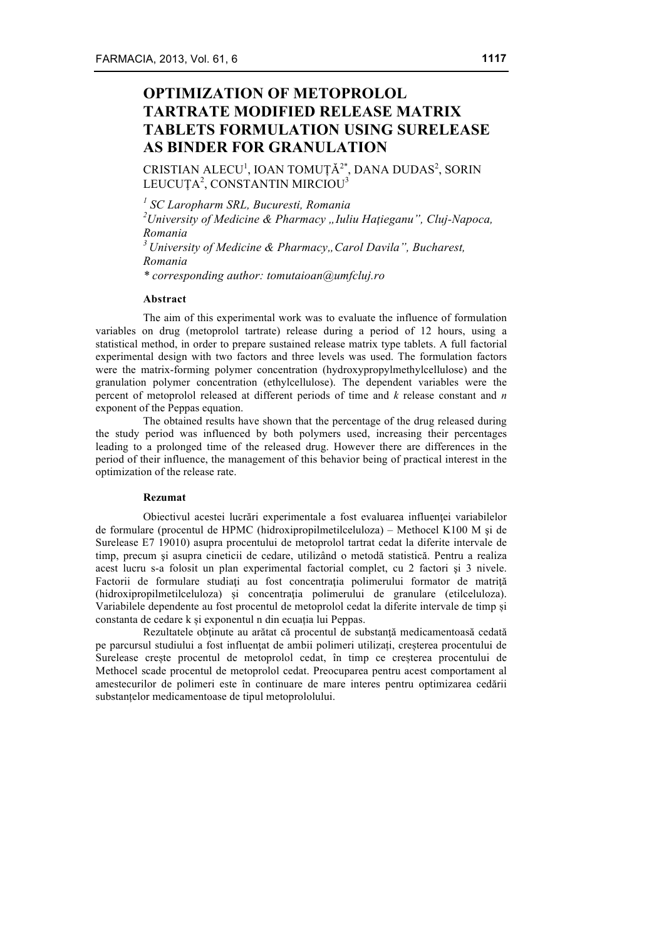# **OPTIMIZATION OF METOPROLOL TARTRATE MODIFIED RELEASE MATRIX TABLETS FORMULATION USING SURELEASE AS BINDER FOR GRANULATION**

CRISTIAN ALECU $^1$ , IOAN TOMUȚĂ $^{2^\ast}$ , DANA DUDAS $^2$ , SORIN LEUCUȚA<sup>2</sup>, CONSTANTIN MIRCIOU<sup>3</sup>

*<sup>1</sup> SC Laropharm SRL, Bucuresti, Romania*

<sup>2</sup> University of Medicine & Pharmacy "Iuliu Hațieganu", Cluj-Napoca, *Romania*

<sup>3</sup> University of Medicine & Pharmacy.. Carol Davila", Bucharest, *Romania*

*\* corresponding author: tomutaioan@umfcluj.ro*

#### **Abstract**

The aim of this experimental work was to evaluate the influence of formulation variables on drug (metoprolol tartrate) release during a period of 12 hours, using a statistical method, in order to prepare sustained release matrix type tablets. A full factorial experimental design with two factors and three levels was used. The formulation factors were the matrix-forming polymer concentration (hydroxypropylmethylcellulose) and the granulation polymer concentration (ethylcellulose). The dependent variables were the percent of metoprolol released at different periods of time and *k* release constant and *n* exponent of the Peppas equation.

The obtained results have shown that the percentage of the drug released during the study period was influenced by both polymers used, increasing their percentages leading to a prolonged time of the released drug. However there are differences in the period of their influence, the management of this behavior being of practical interest in the optimization of the release rate.

#### **Rezumat**

Obiectivul acestei lucrări experimentale a fost evaluarea influenței variabilelor de formulare (procentul de HPMC (hidroxipropilmetilceluloza) – Methocel K100 M şi de Surelease E7 19010) asupra procentului de metoprolol tartrat cedat la diferite intervale de timp, precum şi asupra cineticii de cedare, utilizând o metodă statistică. Pentru a realiza acest lucru s-a folosit un plan experimental factorial complet, cu 2 factori şi 3 nivele. Factorii de formulare studiati au fost concentratia polimerului formator de matrită (hidroxipropilmetilceluloza) și concentrația polimerului de granulare (etilceluloza). Variabilele dependente au fost procentul de metoprolol cedat la diferite intervale de timp și constanta de cedare k și exponentul n din ecuația lui Peppas.

Rezultatele obtinute au arătat că procentul de substanță medicamentoasă cedată pe parcursul studiului a fost influenţat de ambii polimeri utilizați, creșterea procentului de Surelease crește procentul de metoprolol cedat, în timp ce creșterea procentului de Methocel scade procentul de metoprolol cedat. Preocuparea pentru acest comportament al amestecurilor de polimeri este în continuare de mare interes pentru optimizarea cedării substanțelor medicamentoase de tipul metoprololului.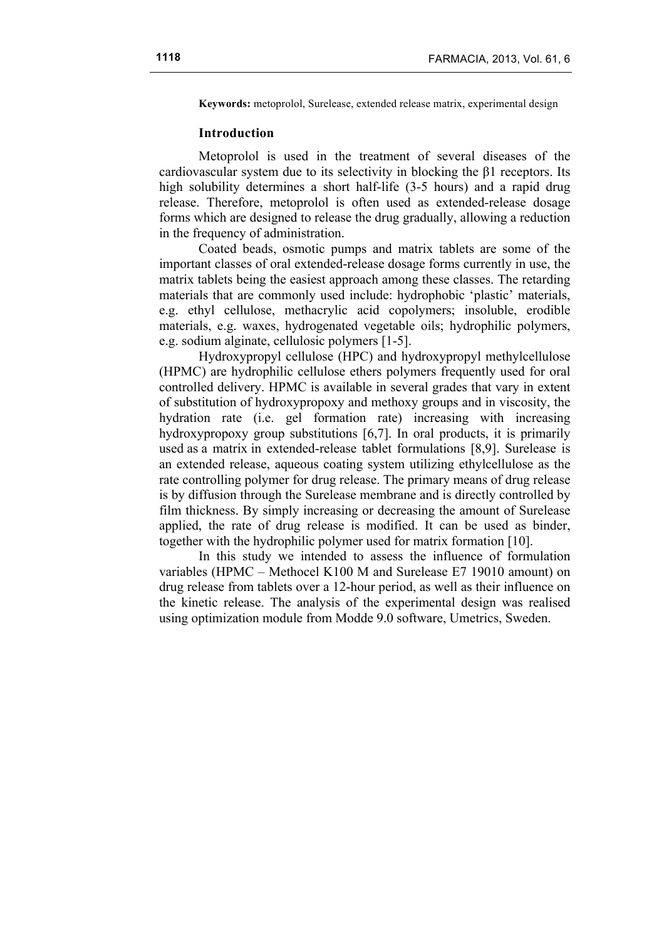**Keywords:** metoprolol, Surelease, extended release matrix, experimental design

#### **Introduction**

Metoprolol is used in the treatment of several diseases of the cardiovascular system due to its selectivity in blocking the β1 receptors. Its high solubility determines a short half-life (3-5 hours) and a rapid drug release. Therefore, metoprolol is often used as extended-release dosage forms which are designed to release the drug gradually, allowing a reduction in the frequency of administration.

Coated beads, osmotic pumps and matrix tablets are some of the important classes of oral extended-release dosage forms currently in use, the matrix tablets being the easiest approach among these classes. The retarding materials that are commonly used include: hydrophobic 'plastic' materials, e.g. ethyl cellulose, methacrylic acid copolymers; insoluble, erodible materials, e.g. waxes, hydrogenated vegetable oils; hydrophilic polymers, e.g. sodium alginate, cellulosic polymers [1-5].

Hydroxypropyl cellulose (HPC) and hydroxypropyl methylcellulose (HPMC) are hydrophilic cellulose ethers polymers frequently used for oral controlled delivery. HPMC is available in several grades that vary in extent of substitution of hydroxypropoxy and methoxy groups and in viscosity, the hydration rate (i.e. gel formation rate) increasing with increasing hydroxypropoxy group substitutions [6,7]. In oral products, it is primarily used as a matrix in extended-release tablet formulations [8,9]. Surelease is an extended release, aqueous coating system utilizing ethylcellulose as the rate controlling polymer for drug release. The primary means of drug release is by diffusion through the Surelease membrane and is directly controlled by film thickness. By simply increasing or decreasing the amount of Surelease applied, the rate of drug release is modified. It can be used as binder, together with the hydrophilic polymer used for matrix formation [10].

In this study we intended to assess the influence of formulation variables (HPMC – Methocel K100 M and Surelease E7 19010 amount) on drug release from tablets over a 12-hour period, as well as their influence on the kinetic release. The analysis of the experimental design was realised using optimization module from Modde 9.0 software, Umetrics, Sweden.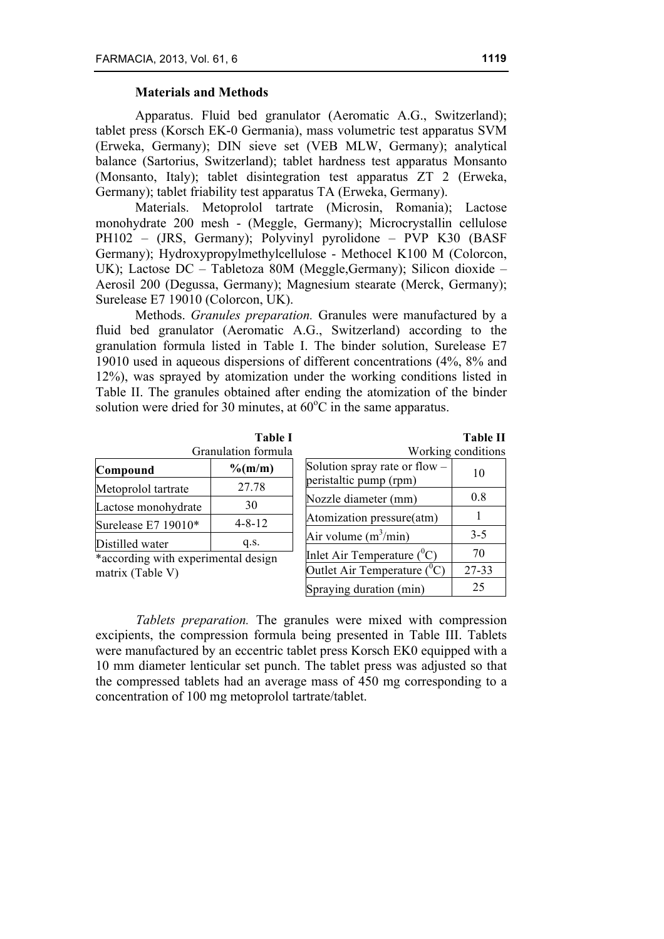# **Materials and Methods**

Apparatus. Fluid bed granulator (Aeromatic A.G., Switzerland); tablet press (Korsch EK-0 Germania), mass volumetric test apparatus SVM (Erweka, Germany); DIN sieve set (VEB MLW, Germany); analytical balance (Sartorius, Switzerland); tablet hardness test apparatus Monsanto (Monsanto, Italy); tablet disintegration test apparatus ZT 2 (Erweka, Germany); tablet friability test apparatus TA (Erweka, Germany).

Materials. Metoprolol tartrate (Microsin, Romania); Lactose monohydrate 200 mesh - (Meggle, Germany); Microcrystallin cellulose PH102 – (JRS, Germany); Polyvinyl pyrolidone – PVP K30 (BASF Germany); Hydroxypropylmethylcellulose - Methocel K100 M (Colorcon, UK); Lactose DC – Tabletoza 80M (Meggle,Germany); Silicon dioxide – Aerosil 200 (Degussa, Germany); Magnesium stearate (Merck, Germany); Surelease E7 19010 (Colorcon, UK).

Methods. *Granules preparation.* Granules were manufactured by a fluid bed granulator (Aeromatic A.G., Switzerland) according to the granulation formula listed in Table I. The binder solution, Surelease E7 19010 used in aqueous dispersions of different concentrations (4%, 8% and 12%), was sprayed by atomization under the working conditions listed in Table II. The granules obtained after ending the atomization of the binder solution were dried for 30 minutes, at  $60^{\circ}$ C in the same apparatus.

|                     | <b>Table I</b><br>Granulation formula |
|---------------------|---------------------------------------|
| Compound            | $\%$ (m/m)                            |
| Metoprolol tartrate | 27.78                                 |
| Lactose monohydrate | 30                                    |
| Surelease E7 19010* | $4 - 8 - 12$                          |
| Distilled water     | q.s.                                  |

\*according with experimental design matrix (Table V)

| וחו<br>.,<br>Æ<br> |  |
|--------------------|--|
|--------------------|--|

| Working conditions                                        |         |  |  |  |  |  |  |
|-----------------------------------------------------------|---------|--|--|--|--|--|--|
| Solution spray rate or flow $-$<br>peristaltic pump (rpm) | 10      |  |  |  |  |  |  |
| Nozzle diameter (mm)                                      | 0.8     |  |  |  |  |  |  |
| Atomization pressure(atm)                                 | 1       |  |  |  |  |  |  |
| Air volume $(m^3/min)$                                    | $3 - 5$ |  |  |  |  |  |  |
| Inlet Air Temperature $(^0C)$                             | 70      |  |  |  |  |  |  |
| Outlet Air Temperature $({}^{0}C)$                        | 27-33   |  |  |  |  |  |  |
| Spraying duration (min)                                   | 25      |  |  |  |  |  |  |

*Tablets preparation.* The granules were mixed with compression excipients, the compression formula being presented in Table III. Tablets were manufactured by an eccentric tablet press Korsch EK0 equipped with a 10 mm diameter lenticular set punch. The tablet press was adjusted so that the compressed tablets had an average mass of 450 mg corresponding to a concentration of 100 mg metoprolol tartrate/tablet.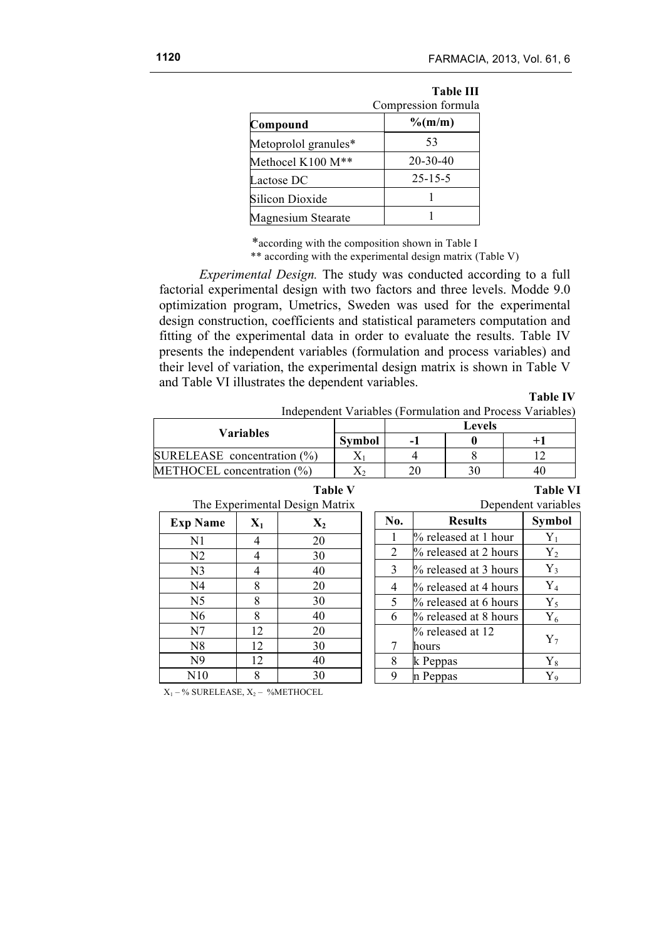|                           | Compression formula |  |  |  |  |
|---------------------------|---------------------|--|--|--|--|
| Compound                  | $\%$ (m/m)          |  |  |  |  |
| Metoprolol granules*      | 53                  |  |  |  |  |
| Methocel K100 M**         | $20 - 30 - 40$      |  |  |  |  |
| Lactose DC                | $25 - 15 - 5$       |  |  |  |  |
| Silicon Dioxide           |                     |  |  |  |  |
| <b>Magnesium Stearate</b> |                     |  |  |  |  |

\*according with the composition shown in Table I

\*\* according with the experimental design matrix (Table V)

*Experimental Design.* The study was conducted according to a full factorial experimental design with two factors and three levels. Modde 9.0 optimization program, Umetrics, Sweden was used for the experimental design construction, coefficients and statistical parameters computation and fitting of the experimental data in order to evaluate the results. Table IV presents the independent variables (formulation and process variables) and their level of variation, the experimental design matrix is shown in Table V and Table VI illustrates the dependent variables.

#### **Table IV**

**Table VI**

8 k Peppas Y<sub>8</sub> 9 n Peppas  $\vert$  Y<sub>9</sub>

| Independent Variables (Formulation and Process Variables) |
|-----------------------------------------------------------|
|-----------------------------------------------------------|

| <b>Variables</b>               |               | <b>Levels</b> |    |    |  |  |  |
|--------------------------------|---------------|---------------|----|----|--|--|--|
|                                | <b>Symbol</b> | -             |    |    |  |  |  |
| SURELEASE concentration $(\%)$ |               |               |    |    |  |  |  |
| METHOCEL concentration $(\% )$ |               | 20            | 30 | 40 |  |  |  |

# **Table V** The Experimental Design Matrix

|                |                | The Experimental Design Matrix |              |                          | Dependent variables |
|----------------|----------------|--------------------------------|--------------|--------------------------|---------------------|
| <b>Name</b>    | $\mathbf{X}_1$ | $\mathbf{X}_2$                 | No.          | <b>Results</b>           | <b>Symbol</b>       |
| N <sub>1</sub> |                | 20                             |              | % released at 1 hour     |                     |
| N2             |                | 30                             |              | % released at 2 hours    | ${\rm Y_2}$         |
| N <sub>3</sub> |                | 40                             | $\mathbf{3}$ | % released at 3 hours    | $Y_3$               |
| N <sub>4</sub> |                | 20                             | 4            | $\%$ released at 4 hours | ${\rm Y}_4$         |
| N <sub>5</sub> |                | 30                             |              | % released at 6 hours    | ${\rm Y}_5$         |
| N <sub>6</sub> |                | 40                             | 6            | % released at 8 hours    | ${\rm Y}_6$         |
| N <sub>7</sub> | 12             | 20                             |              | % released at 12         |                     |
| N8             |                | 30                             |              | hours                    |                     |

 $X_1 - %$  SURELEASE,  $X_2 - %$ METHOCEL

N9 | 12 | 40 N10 8 30

**Exp Name**  $\mathbf{X}_1$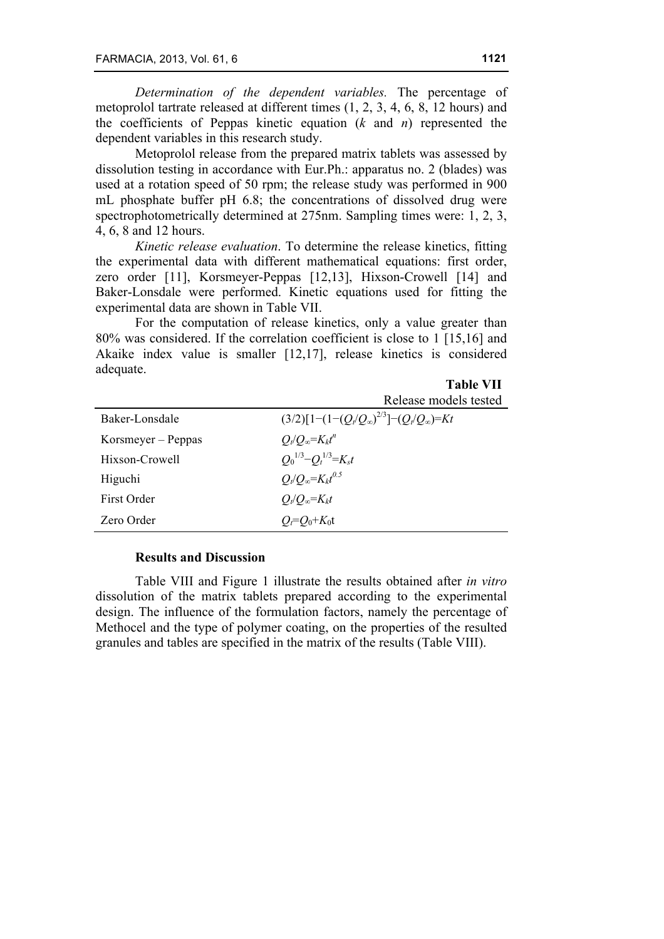*Determination of the dependent variables.* The percentage of metoprolol tartrate released at different times (1, 2, 3, 4, 6, 8, 12 hours) and the coefficients of Peppas kinetic equation (*k* and *n*) represented the dependent variables in this research study.

Metoprolol release from the prepared matrix tablets was assessed by dissolution testing in accordance with Eur.Ph.: apparatus no. 2 (blades) was used at a rotation speed of 50 rpm; the release study was performed in 900 mL phosphate buffer pH 6.8; the concentrations of dissolved drug were spectrophotometrically determined at 275nm. Sampling times were: 1, 2, 3, 4, 6, 8 and 12 hours.

*Kinetic release evaluation*. To determine the release kinetics, fitting the experimental data with different mathematical equations: first order, zero order [11], Korsmeyer-Peppas [12,13], Hixson-Crowell [14] and Baker-Lonsdale were performed. Kinetic equations used for fitting the experimental data are shown in Table VII.

For the computation of release kinetics, only a value greater than 80% was considered. If the correlation coefficient is close to 1 [15,16] and Akaike index value is smaller [12,17], release kinetics is considered adequate.

|                    | Release models tested                                 |
|--------------------|-------------------------------------------------------|
| Baker-Lonsdale     | $(3/2)[1-(1-(Q_t/Q_\infty)^{2/3}]- (Q_t/Q_\infty)=Kt$ |
| $Korsmeyer-Peppas$ | $Q_t/Q_\infty = K_k t^n$                              |
| Hixson-Crowell     | $Q_0^{1/3} - Q_t^{1/3} = K_s t$                       |
| Higuchi            | $Q_t/Q_\infty = K_k t^{0.5}$                          |
| First Order        | $Q_t/Q_\infty = K_k t$                                |
| Zero Order         | $O_f = O_0 + K_0 t$                                   |

### **Results and Discussion**

Table VIII and Figure 1 illustrate the results obtained after *in vitro* dissolution of the matrix tablets prepared according to the experimental design. The influence of the formulation factors, namely the percentage of Methocel and the type of polymer coating, on the properties of the resulted granules and tables are specified in the matrix of the results (Table VIII).

**Table VII**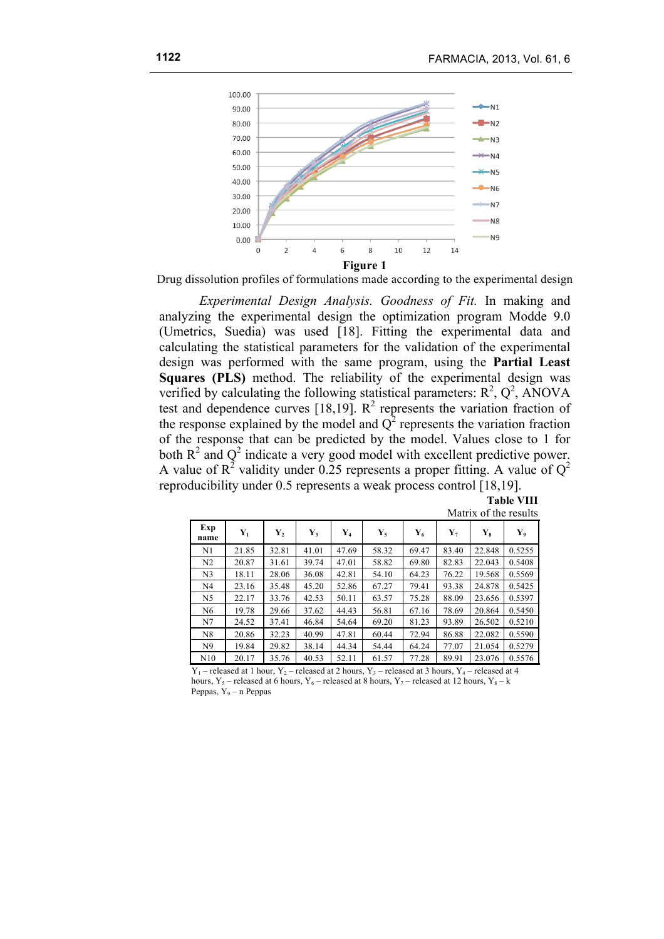

Drug dissolution profiles of formulations made according to the experimental design

*Experimental Design Analysis. Goodness of Fit.* In making and analyzing the experimental design the optimization program Modde 9.0 (Umetrics, Suedia) was used [18]. Fitting the experimental data and calculating the statistical parameters for the validation of the experimental design was performed with the same program, using the **Partial Least Squares (PLS)** method. The reliability of the experimental design was verified by calculating the following statistical parameters:  $R^2$ ,  $Q^2$ , ANOVA test and dependence curves [18,19].  $R^2$  represents the variation fraction of the response explained by the model and  $Q^2$  represents the variation fraction of the response that can be predicted by the model. Values close to 1 for both  $R^2$  and  $Q^2$  indicate a very good model with excellent predictive power. A value of  $R^2$  validity under 0.25 represents a proper fitting. A value of  $Q^2$ reproducibility under 0.5 represents a weak process control [18,19].

|                       | <b>Table VIII</b> |
|-----------------------|-------------------|
| Matrix of the results |                   |

| Exp<br>name    | ${\bf Y}_1$ | $\mathbf{Y}_2$ | ${\bf Y}_3$ | $\mathbf{Y}_4$ | $Y_5$ | ${\bf Y}_6$ | $\mathbf{Y}_{7}$ | $\mathbf{Y}_8$ | Y,     |
|----------------|-------------|----------------|-------------|----------------|-------|-------------|------------------|----------------|--------|
| N1             | 21.85       | 32.81          | 41.01       | 47.69          | 58.32 | 69.47       | 83.40            | 22.848         | 0.5255 |
| N2             | 20.87       | 31.61          | 39.74       | 47.01          | 58.82 | 69.80       | 82.83            | 22.043         | 0.5408 |
| N <sub>3</sub> | 18.11       | 28.06          | 36.08       | 42.81          | 54.10 | 64.23       | 76.22            | 19.568         | 0.5569 |
| N <sub>4</sub> | 23.16       | 35.48          | 45.20       | 52.86          | 67.27 | 79.41       | 93.38            | 24.878         | 0.5425 |
| N <sub>5</sub> | 22.17       | 33.76          | 42.53       | 50.11          | 63.57 | 75.28       | 88.09            | 23.656         | 0.5397 |
| N <sub>6</sub> | 19.78       | 29.66          | 37.62       | 44.43          | 56.81 | 67.16       | 78.69            | 20.864         | 0.5450 |
| N7             | 24.52       | 37.41          | 46.84       | 54.64          | 69.20 | 81.23       | 93.89            | 26.502         | 0.5210 |
| N8             | 20.86       | 32.23          | 40.99       | 47.81          | 60.44 | 72.94       | 86.88            | 22.082         | 0.5590 |
| N <sub>9</sub> | 19.84       | 29.82          | 38.14       | 44.34          | 54.44 | 64.24       | 77.07            | 21.054         | 0.5279 |
| N10            | 20.17       | 35.76          | 40.53       | 52.11          | 61.57 | 77.28       | 89.91            | 23.076         | 0.5576 |

 $Y_1$  – released at 1 hour,  $Y_2$  – released at 2 hours,  $Y_3$  – released at 3 hours,  $Y_4$  – released at 4 hours,  $Y_5$  – released at 6 hours,  $Y_6$  – released at 8 hours,  $Y_7$  – released at 12 hours,  $Y_8$  – k Peppas,  $Y_9 - n$  Peppas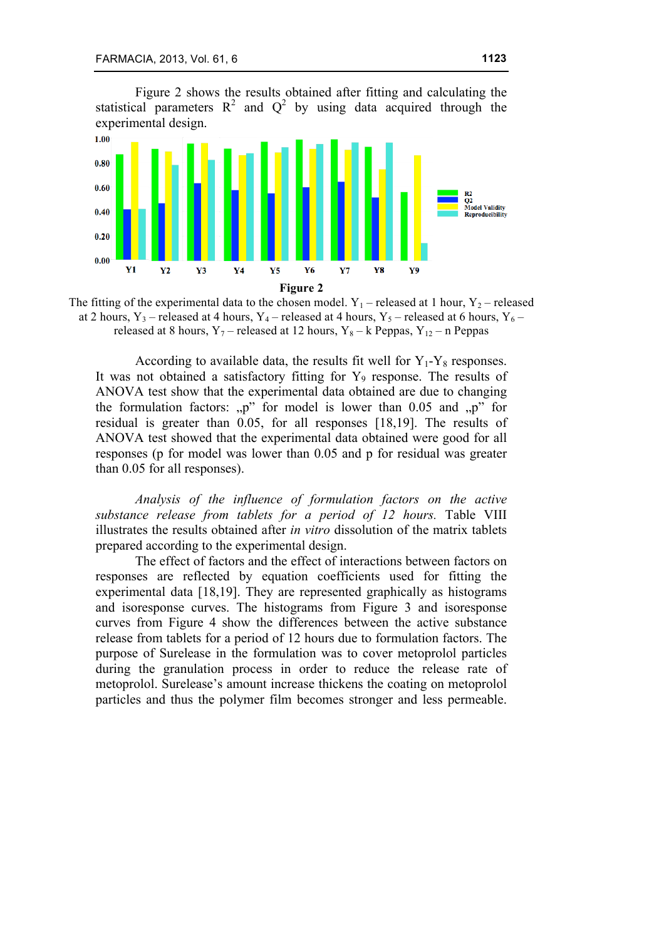Figure 2 shows the results obtained after fitting and calculating the statistical parameters  $R^2$  and  $Q^2$  by using data acquired through the experimental design.



The fitting of the experimental data to the chosen model.  $Y_1$  – released at 1 hour,  $Y_2$  – released at 2 hours, Y<sub>3</sub> – released at 4 hours, Y<sub>4</sub> – released at 4 hours, Y<sub>5</sub> – released at 6 hours, Y<sub>6</sub> – released at 8 hours,  $Y_7$  – released at 12 hours,  $Y_8$  – k Peppas,  $Y_{12}$  – n Peppas

According to available data, the results fit well for  $Y_1-Y_8$  responses. It was not obtained a satisfactory fitting for  $Y_9$  response. The results of ANOVA test show that the experimental data obtained are due to changing the formulation factors:  $p''$  for model is lower than 0.05 and  $p''$  for residual is greater than 0.05, for all responses [18,19]. The results of ANOVA test showed that the experimental data obtained were good for all responses (p for model was lower than 0.05 and p for residual was greater than 0.05 for all responses).

*Analysis of the influence of formulation factors on the active substance release from tablets for a period of 12 hours.* Table VIII illustrates the results obtained after *in vitro* dissolution of the matrix tablets prepared according to the experimental design.

The effect of factors and the effect of interactions between factors on responses are reflected by equation coefficients used for fitting the experimental data [18,19]. They are represented graphically as histograms and isoresponse curves. The histograms from Figure 3 and isoresponse curves from Figure 4 show the differences between the active substance release from tablets for a period of 12 hours due to formulation factors. The purpose of Surelease in the formulation was to cover metoprolol particles during the granulation process in order to reduce the release rate of metoprolol. Surelease's amount increase thickens the coating on metoprolol particles and thus the polymer film becomes stronger and less permeable.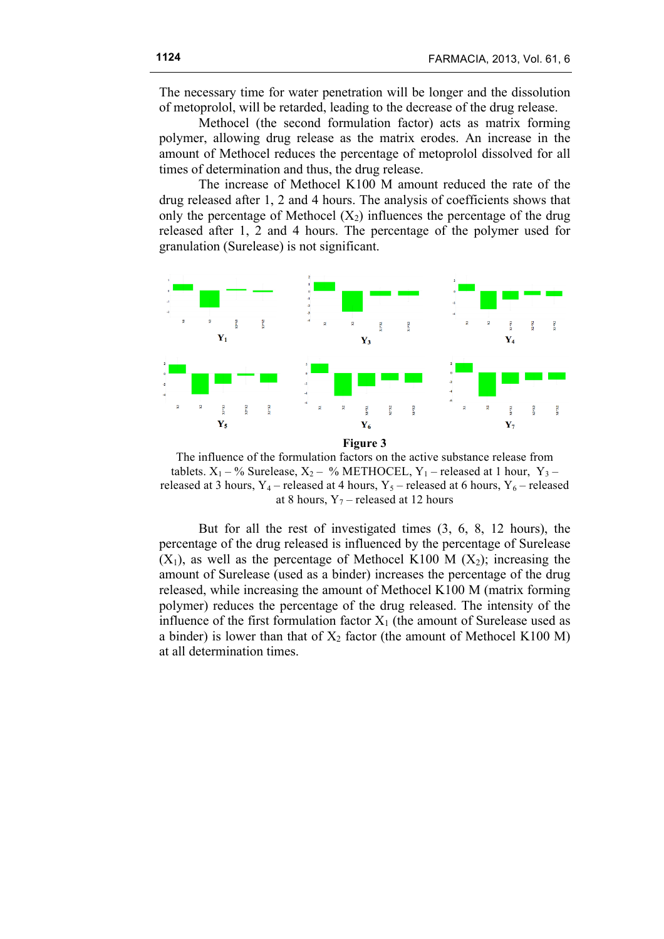The necessary time for water penetration will be longer and the dissolution of metoprolol, will be retarded, leading to the decrease of the drug release.

Methocel (the second formulation factor) acts as matrix forming polymer, allowing drug release as the matrix erodes. An increase in the amount of Methocel reduces the percentage of metoprolol dissolved for all times of determination and thus, the drug release.

The increase of Methocel K100 M amount reduced the rate of the drug released after 1, 2 and 4 hours. The analysis of coefficients shows that only the percentage of Methocel  $(X_2)$  influences the percentage of the drug released after 1, 2 and 4 hours. The percentage of the polymer used for granulation (Surelease) is not significant.



**Figure 3**

The influence of the formulation factors on the active substance release from tablets.  $X_1 - \%$  Surelease,  $X_2 - \%$  METHOCEL,  $Y_1$  – released at 1 hour,  $Y_3$  – released at 3 hours,  $Y_4$  – released at 4 hours,  $Y_5$  – released at 6 hours,  $Y_6$  – released at 8 hours,  $Y_7$  – released at 12 hours

But for all the rest of investigated times (3, 6, 8, 12 hours), the percentage of the drug released is influenced by the percentage of Surelease  $(X_1)$ , as well as the percentage of Methocel K100 M  $(X_2)$ ; increasing the amount of Surelease (used as a binder) increases the percentage of the drug released, while increasing the amount of Methocel K100 M (matrix forming polymer) reduces the percentage of the drug released. The intensity of the influence of the first formulation factor  $X_1$  (the amount of Surelease used as a binder) is lower than that of  $X_2$  factor (the amount of Methocel K100 M) at all determination times.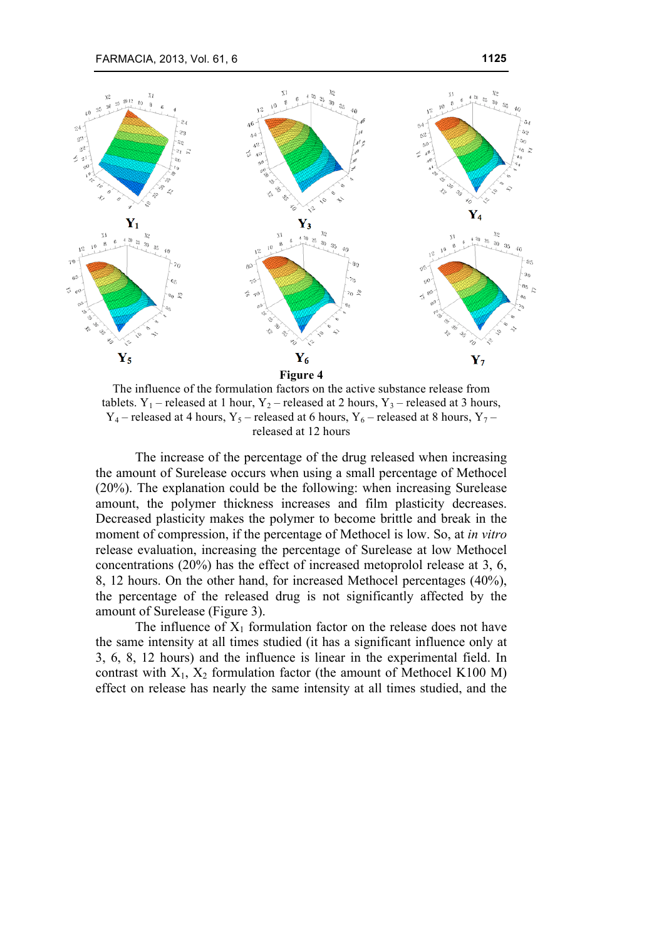

The influence of the formulation factors on the active substance release from tablets.  $Y_1$  – released at 1 hour,  $Y_2$  – released at 2 hours,  $Y_3$  – released at 3 hours,  $Y_4$  – released at 4 hours,  $Y_5$  – released at 6 hours,  $Y_6$  – released at 8 hours,  $Y_7$  – released at 12 hours

The increase of the percentage of the drug released when increasing the amount of Surelease occurs when using a small percentage of Methocel (20%). The explanation could be the following: when increasing Surelease amount, the polymer thickness increases and film plasticity decreases. Decreased plasticity makes the polymer to become brittle and break in the moment of compression, if the percentage of Methocel is low. So, at *in vitro* release evaluation, increasing the percentage of Surelease at low Methocel concentrations (20%) has the effect of increased metoprolol release at 3, 6, 8, 12 hours. On the other hand, for increased Methocel percentages (40%), the percentage of the released drug is not significantly affected by the amount of Surelease (Figure 3).

The influence of  $X_1$  formulation factor on the release does not have the same intensity at all times studied (it has a significant influence only at 3, 6, 8, 12 hours) and the influence is linear in the experimental field. In contrast with  $X_1$ ,  $X_2$  formulation factor (the amount of Methocel K100 M) effect on release has nearly the same intensity at all times studied, and the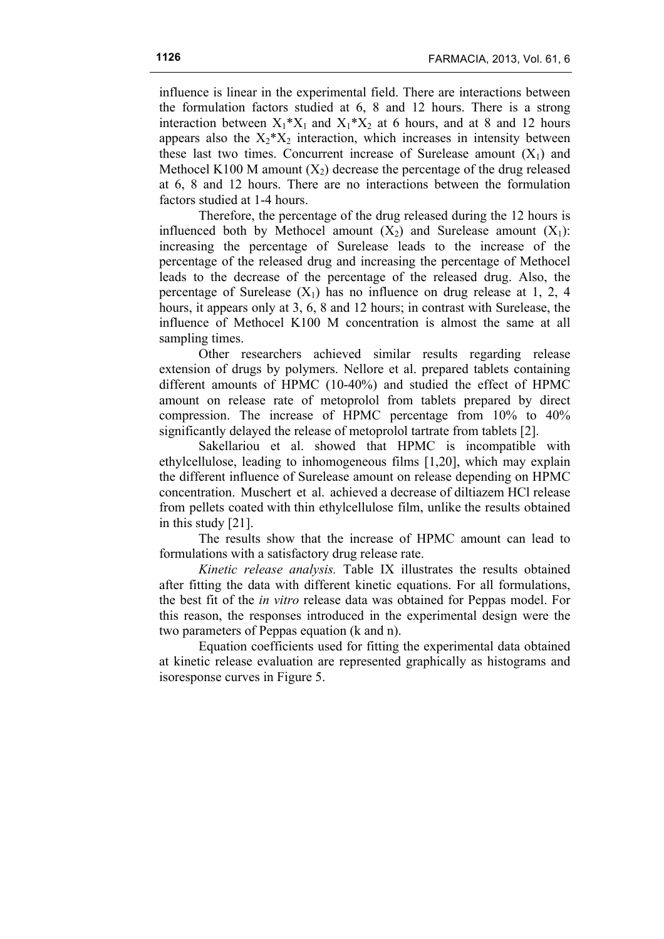influence is linear in the experimental field. There are interactions between the formulation factors studied at 6, 8 and 12 hours. There is a strong interaction between  $X_1^*X_1$  and  $X_1^*X_2$  at 6 hours, and at 8 and 12 hours appears also the  $X_2^*X_2$  interaction, which increases in intensity between these last two times. Concurrent increase of Surelease amount  $(X_1)$  and Methocel K100 M amount  $(X_2)$  decrease the percentage of the drug released at 6, 8 and 12 hours. There are no interactions between the formulation factors studied at 1-4 hours.

Therefore, the percentage of the drug released during the 12 hours is influenced both by Methocel amount  $(X_2)$  and Surelease amount  $(X_1)$ : increasing the percentage of Surelease leads to the increase of the percentage of the released drug and increasing the percentage of Methocel leads to the decrease of the percentage of the released drug. Also, the percentage of Surelease  $(X_1)$  has no influence on drug release at 1, 2, 4 hours, it appears only at 3, 6, 8 and 12 hours; in contrast with Surelease, the influence of Methocel K100 M concentration is almost the same at all sampling times.

Other researchers achieved similar results regarding release extension of drugs by polymers. Nellore et al. prepared tablets containing different amounts of HPMC (10-40%) and studied the effect of HPMC amount on release rate of metoprolol from tablets prepared by direct compression. The increase of HPMC percentage from 10% to 40% significantly delayed the release of metoprolol tartrate from tablets [2].

Sakellariou et al. showed that HPMC is incompatible with ethylcellulose, leading to inhomogeneous films [1,20], which may explain the different influence of Surelease amount on release depending on HPMC concentration. Muschert et al. achieved a decrease of diltiazem HCl release from pellets coated with thin ethylcellulose film, unlike the results obtained in this study [21].

The results show that the increase of HPMC amount can lead to formulations with a satisfactory drug release rate.

*Kinetic release analysis.* Table IX illustrates the results obtained after fitting the data with different kinetic equations. For all formulations, the best fit of the *in vitro* release data was obtained for Peppas model. For this reason, the responses introduced in the experimental design were the two parameters of Peppas equation (k and n).

Equation coefficients used for fitting the experimental data obtained at kinetic release evaluation are represented graphically as histograms and isoresponse curves in Figure 5.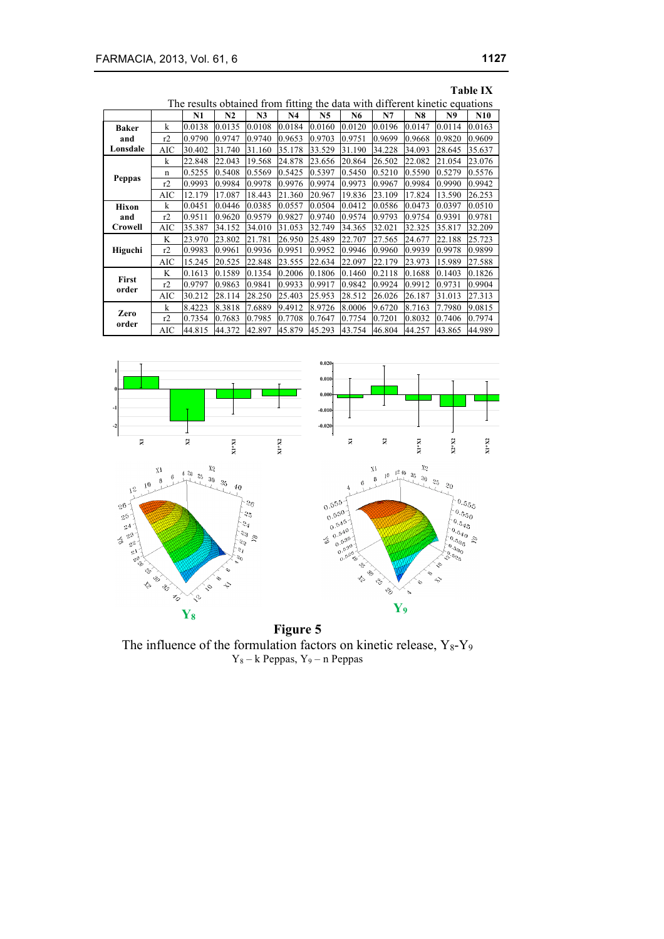| <b>Table IX</b>                                                             |            |        |        |                |                |                |        |        |        |        |        |
|-----------------------------------------------------------------------------|------------|--------|--------|----------------|----------------|----------------|--------|--------|--------|--------|--------|
| The results obtained from fitting the data with different kinetic equations |            |        |        |                |                |                |        |        |        |        |        |
|                                                                             |            | N1     | N2     | N <sub>3</sub> | N <sub>4</sub> | N <sub>5</sub> | N6     | N7     | N8     | N9     | N10    |
| <b>Baker</b>                                                                | k          | 0.0138 | 0.0135 | 0.0108         | 0.0184         | 0.0160         | 0.0120 | 0.0196 | 0.0147 | 0.0114 | 0.0163 |
| and                                                                         | r2         | 0.9790 | 0.9747 | 0.9740         | 0.9653         | 0.9703         | 0.9751 | 0.9699 | 0.9668 | 0.9820 | 0.9609 |
| Lonsdale                                                                    | AIC        | 30.402 | 31.740 | 31.160         | 35.178         | 33.529         | 31.190 | 34.228 | 34.093 | 28.645 | 35.637 |
|                                                                             | k          | 22.848 | 22.043 | 19.568         | 24.878         | 23.656         | 20.864 | 26.502 | 22.082 | 21.054 | 23.076 |
|                                                                             | n          | 0.5255 | 0.5408 | 0.5569         | 0.5425         | 0.5397         | 0.5450 | 0.5210 | 0.5590 | 0.5279 | 0.5576 |
| Peppas                                                                      | r2         | 0.9993 | 0.9984 | 0.9978         | 0.9976         | 0.9974         | 0.9973 | 0.9967 | 0.9984 | 0.9990 | 0.9942 |
|                                                                             | AIC        | 12.179 | 17.087 | 18.443         | 21.360         | 20.967         | 19.836 | 23.109 | 17.824 | 13.590 | 26.253 |
| Hixon                                                                       | k          | 0.0451 | 0.0446 | 0.0385         | 0.0557         | 0.0504         | 0.0412 | 0.0586 | 0.0473 | 0.0397 | 0.0510 |
| and                                                                         | r2         | 0.9511 | 0.9620 | 0.9579         | 0.9827         | 0.9740         | 0.9574 | 0.9793 | 0.9754 | 0.9391 | 0.9781 |
| Crowell                                                                     | AIC        | 35.387 | 34.152 | 34.010         | 31.053         | 32.749         | 34.365 | 32.021 | 32.325 | 35.817 | 32.209 |
|                                                                             | K          | 23.970 | 23.802 | 21.781         | 26.950         | 25.489         | 22.707 | 27.565 | 24.677 | 22.188 | 25.723 |
| Higuchi                                                                     | r2         | 0.9983 | 0.9961 | 0.9936         | 0.9951         | 0.9952         | 0.9946 | 0.9960 | 0.9939 | 0.9978 | 0.9899 |
|                                                                             | AIC        | 15.245 | 20.525 | 22.848         | 23.555         | 22.634         | 22.097 | 22.179 | 23.973 | 15.989 | 27.588 |
|                                                                             | K          | 0.1613 | 0.1589 | 0.1354         | 0.2006         | 0.1806         | 0.1460 | 0.2118 | 0.1688 | 0.1403 | 0.1826 |
| First<br>order                                                              | r2         | 0.9797 | 0.9863 | 0.9841         | 0.9933         | 0.9917         | 0.9842 | 0.9924 | 0.9912 | 0.9731 | 0.9904 |
|                                                                             | <b>AIC</b> | 30.212 | 28.114 | 28.250         | 25.403         | 25.953         | 28.512 | 26.026 | 26.187 | 31.013 | 27.313 |
|                                                                             | k          | 8.4223 | 8.3818 | 7.6889         | 9.4912         | 8.9726         | 8.0006 | 9.6720 | 8.7163 | 7.7980 | 9.0815 |
| Zero<br>order                                                               | r2         | 0.7354 | 0.7683 | 0.7985         | 0.7708         | 0.7647         | 0.7754 | 0.7201 | 0.8032 | 0.7406 | 0.7974 |
|                                                                             | AIC        | 44.815 | 44.372 | 42.897         | 45.879         | 45.293         | 43.754 | 46.804 | 44.257 | 43.865 | 44.989 |



**Figure 5** The influence of the formulation factors on kinetic release,  $Y_8-Y_9$  $Y_8 - k$  Peppas,  $Y_9 - n$  Peppas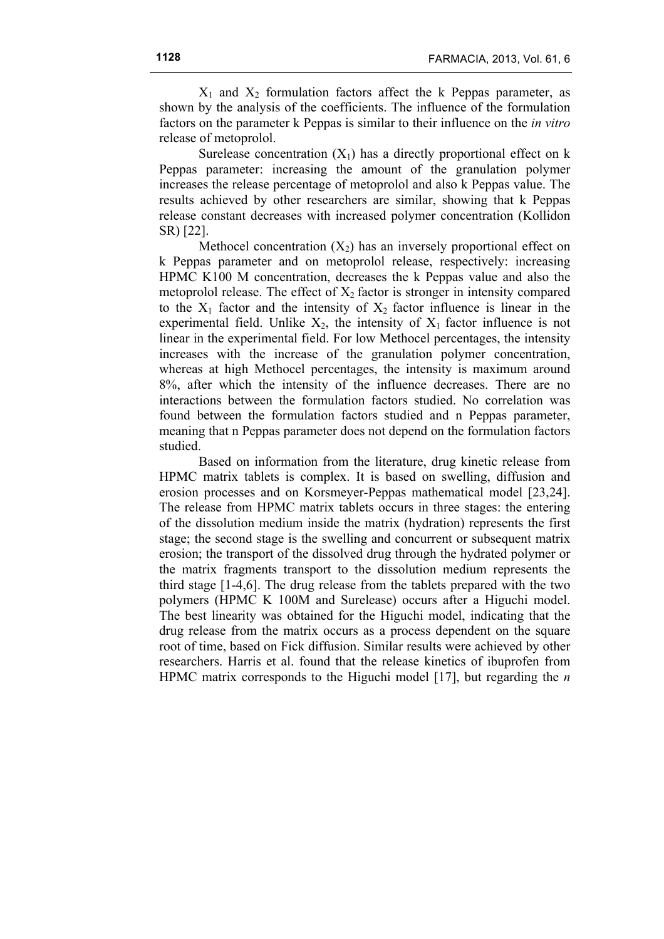$X_1$  and  $X_2$  formulation factors affect the k Peppas parameter, as shown by the analysis of the coefficients. The influence of the formulation factors on the parameter k Peppas is similar to their influence on the *in vitro* release of metoprolol.

Surelease concentration  $(X_1)$  has a directly proportional effect on k Peppas parameter: increasing the amount of the granulation polymer increases the release percentage of metoprolol and also k Peppas value. The results achieved by other researchers are similar, showing that k Peppas release constant decreases with increased polymer concentration (Kollidon SR) [22].

Methocel concentration  $(X_2)$  has an inversely proportional effect on k Peppas parameter and on metoprolol release, respectively: increasing HPMC K100 M concentration, decreases the k Peppas value and also the metoprolol release. The effect of  $X_2$  factor is stronger in intensity compared to the  $X_1$  factor and the intensity of  $X_2$  factor influence is linear in the experimental field. Unlike  $X_2$ , the intensity of  $X_1$  factor influence is not linear in the experimental field. For low Methocel percentages, the intensity increases with the increase of the granulation polymer concentration, whereas at high Methocel percentages, the intensity is maximum around 8%, after which the intensity of the influence decreases. There are no interactions between the formulation factors studied. No correlation was found between the formulation factors studied and n Peppas parameter, meaning that n Peppas parameter does not depend on the formulation factors studied.

Based on information from the literature, drug kinetic release from HPMC matrix tablets is complex. It is based on swelling, diffusion and erosion processes and on Korsmeyer-Peppas mathematical model [23,24]. The release from HPMC matrix tablets occurs in three stages: the entering of the dissolution medium inside the matrix (hydration) represents the first stage; the second stage is the swelling and concurrent or subsequent matrix erosion; the transport of the dissolved drug through the hydrated polymer or the matrix fragments transport to the dissolution medium represents the third stage [1-4,6]. The drug release from the tablets prepared with the two polymers (HPMC K 100M and Surelease) occurs after a Higuchi model. The best linearity was obtained for the Higuchi model, indicating that the drug release from the matrix occurs as a process dependent on the square root of time, based on Fick diffusion. Similar results were achieved by other researchers. Harris et al. found that the release kinetics of ibuprofen from HPMC matrix corresponds to the Higuchi model [17], but regarding the *n*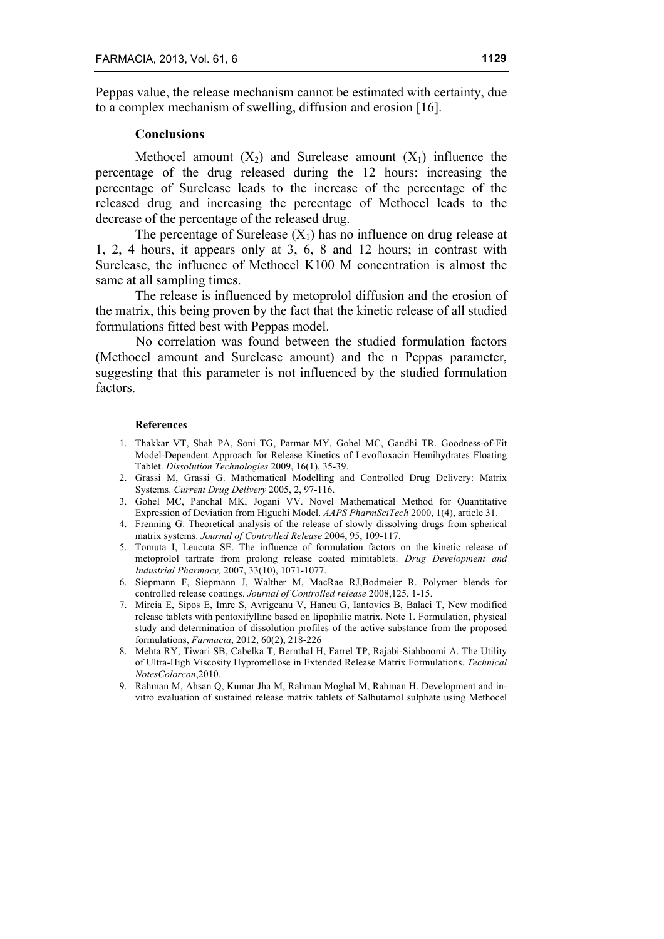Peppas value, the release mechanism cannot be estimated with certainty, due to a complex mechanism of swelling, diffusion and erosion [16].

#### **Conclusions**

Methocel amount  $(X_2)$  and Surelease amount  $(X_1)$  influence the percentage of the drug released during the 12 hours: increasing the percentage of Surelease leads to the increase of the percentage of the released drug and increasing the percentage of Methocel leads to the decrease of the percentage of the released drug.

The percentage of Surelease  $(X_1)$  has no influence on drug release at 1, 2, 4 hours, it appears only at 3, 6, 8 and 12 hours; in contrast with Surelease, the influence of Methocel K100 M concentration is almost the same at all sampling times.

The release is influenced by metoprolol diffusion and the erosion of the matrix, this being proven by the fact that the kinetic release of all studied formulations fitted best with Peppas model.

No correlation was found between the studied formulation factors (Methocel amount and Surelease amount) and the n Peppas parameter, suggesting that this parameter is not influenced by the studied formulation factors.

#### **References**

- 1. Thakkar VT, Shah PA, Soni TG, Parmar MY, Gohel MC, Gandhi TR. Goodness-of-Fit Model-Dependent Approach for Release Kinetics of Levofloxacin Hemihydrates Floating Tablet. *Dissolution Technologies* 2009, 16(1), 35-39.
- 2. Grassi M, Grassi G. Mathematical Modelling and Controlled Drug Delivery: Matrix Systems. *Current Drug Delivery* 2005, 2, 97-116.
- 3. Gohel MC, Panchal MK, Jogani VV. Novel Mathematical Method for Quantitative Expression of Deviation from Higuchi Model. *AAPS PharmSciTech* 2000, 1(4), article 31.
- 4. Frenning G. Theoretical analysis of the release of slowly dissolving drugs from spherical matrix systems. *Journal of Controlled Release* 2004, 95, 109-117.
- 5. Tomuta I, Leucuta SE. The influence of formulation factors on the kinetic release of metoprolol tartrate from prolong release coated minitablets. *Drug Development and Industrial Pharmacy,* 2007, 33(10), 1071-1077.
- 6. Siepmann F, Siepmann J, Walther M, MacRae RJ,Bodmeier R. Polymer blends for controlled release coatings. *Journal of Controlled release* 2008,125, 1-15.
- 7. Mircia E, Sipos E, Imre S, Avrigeanu V, Hancu G, Iantovics B, Balaci T, New modified release tablets with pentoxifylline based on lipophilic matrix. Note 1. Formulation, physical study and determination of dissolution profiles of the active substance from the proposed formulations, *Farmacia*, 2012, 60(2), 218-226
- 8. Mehta RY, Tiwari SB, Cabelka T, Bernthal H, Farrel TP, Rajabi-Siahboomi A. The Utility of Ultra-High Viscosity Hypromellose in Extended Release Matrix Formulations. *Technical NotesColorcon*,2010.
- 9. Rahman M, Ahsan Q, Kumar Jha M, Rahman Moghal M, Rahman H. Development and invitro evaluation of sustained release matrix tablets of Salbutamol sulphate using Methocel